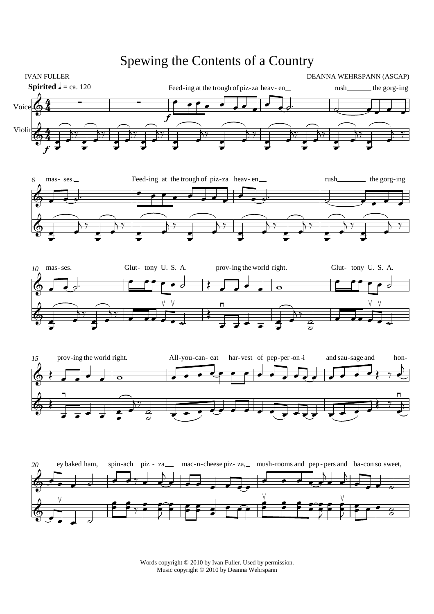## 4  $\frac{4}{4}$ 4  $\frac{4}{4}$ **Spirited**  $J = ca. 120$ IVAN FULLER DEANNA WEHRSPANN (ASCAP) Voice  $\bigodot$   $\frac{4}{4}$   $\qquad$   $\qquad$   $\qquad$   $\qquad$   $\qquad$   $\qquad$   $\qquad$   $\qquad$   $\qquad$   $\qquad$   $\qquad$   $\qquad$   $\qquad$   $\qquad$   $\qquad$   $\qquad$   $\qquad$   $\qquad$   $\qquad$   $\qquad$   $\qquad$   $\qquad$   $\qquad$   $\qquad$   $\qquad$   $\qquad$   $\qquad$   $\qquad$   $\qquad$   $\qquad$   $\qquad$   $\qquad$   $\qquad$  f Feed-ing at the trough of piz-za-heav-en  $\overline{\phantom{a}}$  $\overline{\phantom{a}}$  $\bullet$   $\bullet$ rush ₹  $_$  the gorg-ing  $\overline{\phantom{a}}$  $\overline{\phantom{0}}$  $\Phi$ Violin f  $\bullet$  $\overline{\phantom{a}}$  $\overline{\overline{\Sigma^*}}$  $\bullet$  $\overline{\phantom{a}}$  $\overline{\mathbf{y}}$  $\bullet$  $\overline{\phantom{a}}$  $\overline{\Sigma}$  $\bullet$  $\overline{\phantom{a}}$  $\overline{\overline{\Sigma^*}}$  $\bullet$  $\overline{\phantom{a}}$  $\frac{1}{2}$  $\bullet$  $\overline{\phantom{a}}$  $\overline{\Sigma}$  $\bullet$  $\overline{\phantom{a}}$  $\overline{\Sigma}$  $\bullet$  $\overline{\phantom{a}}$  $\overline{\overline{\Sigma^*}}$  $\bullet$  $\overline{\phantom{a}}$  $\frac{1}{\sum_{i=1}^{n}}$  $\bullet$  $\overline{\phantom{a}}$  $\frac{1}{2}$ *6*  $\mathcal{A}$ mas-ses.  $\overline{\phantom{a}}$ Feed-ing at the trough of piz-za heav-en  $\cdot$  , , ,  $\overline{\phantom{a}}$  $\frac{1}{\sqrt{2}}$ rush र् the gorg-ing  $\overline{\phantom{a}}$  $\overline{\phantom{0}}$  $\Phi$  $\bullet$  $\overline{\phantom{a}}$  $\overline{\Sigma}$  $\bullet$  $\overline{\phantom{a}}$  $\frac{1}{2}$  $\bullet$  $\overline{\phantom{a}}$  $\frac{1}{2}$  $\bullet$  $\overline{\phantom{a}}$  $\frac{1}{2}$  $\bullet$  $\overline{\phantom{a}}$  $\frac{1}{2}$  $\bullet$  $\overline{\phantom{a}}$  $\frac{1}{2}$  $\bullet$  $\overline{\phantom{a}}$  $\frac{1}{2}$  $\bullet$  $\overline{\phantom{a}}$  $\frac{1}{2}$ *10* **C** mas-ses.  $\overline{\phantom{a}}$ Glut- tony U.S. A.  $\overline{\phantom{a}}$  $\bullet$ prov-ing the world right.  $\overline{\phantom{a}}$  $\overline{\phantom{a}}$  $\overline{\phantom{a}}$  $\overline{\bullet}$ Glut- tony U.S.A.  $\overline{\phantom{a}}$  $\rightarrow$  $\Phi$  $\bullet$  $\overline{\phantom{a}}$  $\overline{\Sigma}$  $\bullet$  $\overline{\phantom{a}}$   $\overline{\phantom{a}}$  $\vee$  $\overline{\phantom{a}}$  $\frac{1}{2}$  $\overline{\phantom{a}}$ ≹  $\overline{\phantom{a}}$  $\overline{\phantom{0}}$  $\overline{\phantom{a}}$  $\overrightarrow{z}$  $\overline{\phantom{a}}$  $\overline{\ }$  $\frac{a}{d}$  $\frac{1}{2}$  $\overline{\phantom{a}}$  $\vee$  $\overline{\phantom{a}}$  $\frac{1}{2}$  $\overline{\phantom{a}}$ *15* t⊄ prov-ing the world right.  $\overline{\phantom{a}}$  $\overline{\phantom{a}}$  $\overline{\phantom{a}}$  $\overline{\bullet}$ All-you-can-eat<sub>—</sub> har-vest of pep-per-on-i  $\sqrt{2}$  $\bullet$   $\bullet$   $\bullet$  $\frac{1}{\sqrt{2}}$  $\overline{\cdot \cdot \cdot}$ and sau-sage and  $\overline{\phantom{a}}$ hon-<br><del>--</del>  $\frac{1}{\epsilon}$  $\phi$  $\overline{\phantom{a}}$  $\overline{\phantom{0}}$  $\overline{\phantom{0}}$  $\overrightarrow{z}$  $\overline{\phantom{a}}$  $\overline{\Sigma}$  $\frac{a}{d}$  $\frac{1}{2}$  and  $\frac{1}{2}$  and  $\frac{1}{2}$  and  $\frac{1}{2}$  and  $\frac{1}{2}$  and  $\frac{1}{2}$  and  $\frac{1}{2}$  and  $\frac{1}{2}$  and  $\frac{1}{2}$  and  $\frac{1}{2}$  and  $\frac{1}{2}$  and  $\frac{1}{2}$  and  $\frac{1}{2}$  and  $\frac{1}{2}$  and  $\frac{1}{2}$  and  $\frac{1}{2}$  a  $\frac{1}{2}$ ₹  $\overline{\phantom{0}}$  $\overline{\phantom{a}}$ *20*  $\Phi$ ey baked ham,  $\cdot$ .  $\overline{d}$ spin-ach  $\overrightarrow{\cdot}$ piz za-  $\overline{\phantom{a}}$ ₹  $\overline{a}$  $\overline{\phantom{a}}$ mac-n-cheese piz- za, mush-rooms and pep-pers and ba-con so sweet,  $\overline{\phantom{a}}$  $\overline{\cdot \cdot \cdot}$  $\overrightarrow{a}$  $\overline{\phantom{a}}$  $\overline{\mathbf{b}}$  $\overline{\phantom{a}}$  $\overline{\phantom{a}}$  $\overline{a}$  $\overline{\phantom{a}}$  $\overline{\phantom{a}}$  $\bigcirc$ .  $\vee$  $\epsilon$  $\frac{1}{2}$  $\epsilon$  $\frac{2}{7}$  $\overline{\phantom{a}}$  $\bullet$  $\overline{\phantom{a}}$  $\frac{1}{2}$  $\frac{1}{2}$  $\bullet$  $\overline{\phantom{a}}$  $\frac{1}{2}$  $\overline{\phantom{a}}$  $\frac{1}{2}$  $\frac{1}{2}$   $\frac{1}{2}$  $\vee$  $\frac{1}{2}$  $\frac{v}{2}$  $\frac{1}{2}$  $\overline{\phantom{a}}$  $\bullet$  $\overline{\phantom{a}}$  $\frac{1}{2}$  $\frac{1}{2}$  $\bullet$  $\overline{\phantom{a}}$  $\frac{1}{\epsilon}$  $\frac{v}{2}$  $\frac{\epsilon}{\epsilon}$  $\overline{\phantom{a}}$  $\frac{2}{\sqrt{2}}$  $\frac{d}{d}$  $\frac{1}{2}$

Spewing the Contents of a Country

Words copyright © 2010 by Ivan Fuller. Used by permission. Music copyright © 2010 by Deanna Wehrspann

₹

₹

₹

 $\frac{1}{2}$   $\frac{1}{2}$